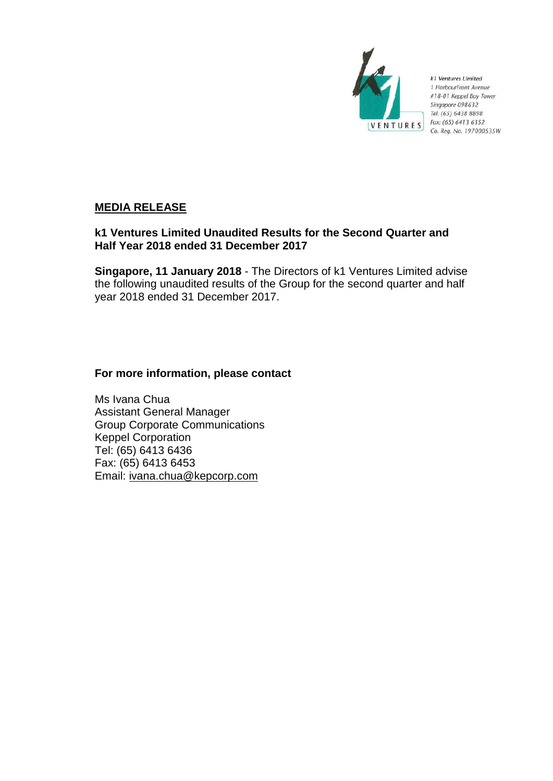

k1 Ventures Limited 1 HarbourFront Avenue #18-01 Keppel Bay Tower Singapore 098632 Tel: (65) 6438 8898 Fax: (65) 6413 6352 Co. Reg. No. 197000535W

# **MEDIA RELEASE**

# **k1 Ventures Limited Unaudited Results for the Second Quarter and Half Year 2018 ended 31 December 2017**

**Singapore, 11 January 2018** - The Directors of k1 Ventures Limited advise the following unaudited results of the Group for the second quarter and half year 2018 ended 31 December 2017.

# **For more information, please contact**

Ms Ivana Chua Assistant General Manager Group Corporate Communications Keppel Corporation Tel: (65) 6413 6436 Fax: (65) 6413 6453 Email: ivana.chua@kepcorp.com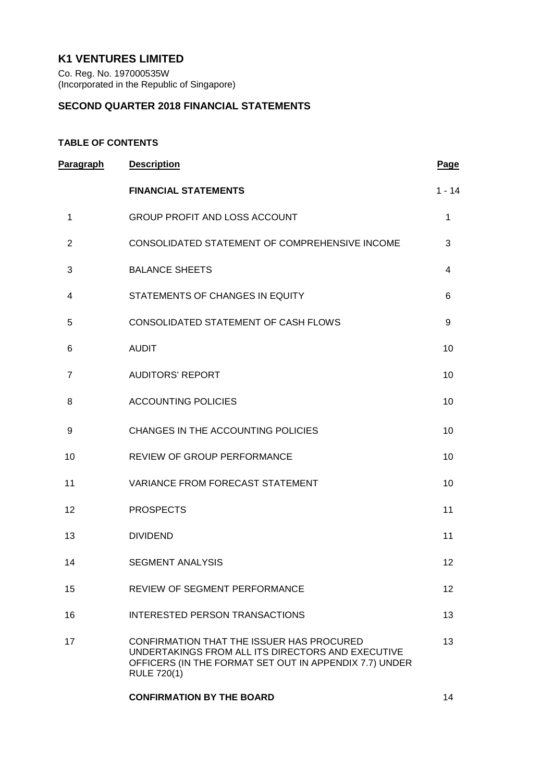# **K1 VENTURES LIMITED**

Co. Reg. No. 197000535W (Incorporated in the Republic of Singapore)

## **SECOND QUARTER 2018 FINANCIAL STATEMENTS**

## **TABLE OF CONTENTS**

| Paragraph      | <b>Description</b>                                                                                                                                                             | <b>Page</b>     |
|----------------|--------------------------------------------------------------------------------------------------------------------------------------------------------------------------------|-----------------|
|                | <b>FINANCIAL STATEMENTS</b>                                                                                                                                                    | $1 - 14$        |
| 1              | <b>GROUP PROFIT AND LOSS ACCOUNT</b>                                                                                                                                           | $\mathbf{1}$    |
| $\overline{2}$ | CONSOLIDATED STATEMENT OF COMPREHENSIVE INCOME                                                                                                                                 | 3               |
| 3              | <b>BALANCE SHEETS</b>                                                                                                                                                          | $\overline{4}$  |
| 4              | STATEMENTS OF CHANGES IN EQUITY                                                                                                                                                | 6               |
| 5              | CONSOLIDATED STATEMENT OF CASH FLOWS                                                                                                                                           | 9               |
| 6              | <b>AUDIT</b>                                                                                                                                                                   | 10              |
| $\overline{7}$ | <b>AUDITORS' REPORT</b>                                                                                                                                                        | 10              |
| 8              | <b>ACCOUNTING POLICIES</b>                                                                                                                                                     | 10              |
| 9              | CHANGES IN THE ACCOUNTING POLICIES                                                                                                                                             | 10              |
| 10             | REVIEW OF GROUP PERFORMANCE                                                                                                                                                    | 10              |
| 11             | VARIANCE FROM FORECAST STATEMENT                                                                                                                                               | 10              |
| 12             | <b>PROSPECTS</b>                                                                                                                                                               | 11              |
| 13             | <b>DIVIDEND</b>                                                                                                                                                                | 11              |
| 14             | <b>SEGMENT ANALYSIS</b>                                                                                                                                                        | 12              |
| 15             | <b>REVIEW OF SEGMENT PERFORMANCE</b>                                                                                                                                           | 12 <sup>2</sup> |
| 16             | <b>INTERESTED PERSON TRANSACTIONS</b>                                                                                                                                          | 13              |
| 17             | CONFIRMATION THAT THE ISSUER HAS PROCURED<br>UNDERTAKINGS FROM ALL ITS DIRECTORS AND EXECUTIVE<br>OFFICERS (IN THE FORMAT SET OUT IN APPENDIX 7.7) UNDER<br><b>RULE 720(1)</b> | 13              |
|                | <b>CONFIRMATION BY THE BOARD</b>                                                                                                                                               | 14              |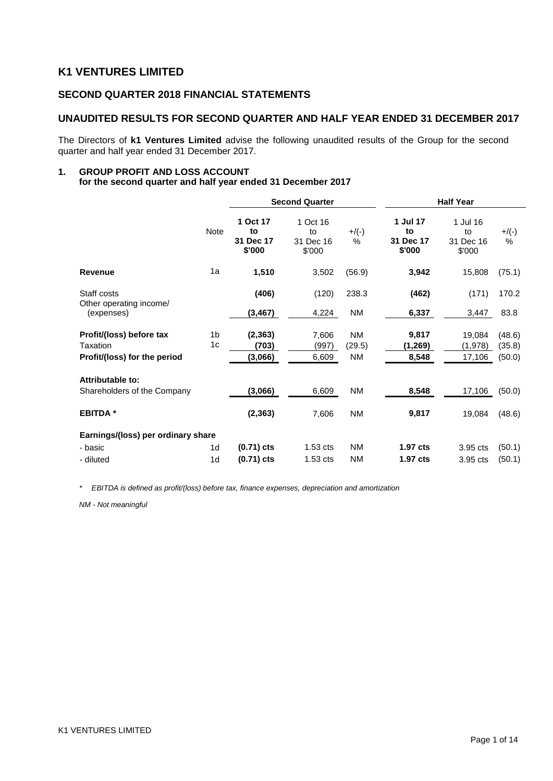# **K1 VENTURES LIMITED**

## **SECOND QUARTER 2018 FINANCIAL STATEMENTS**

## **UNAUDITED RESULTS FOR SECOND QUARTER AND HALF YEAR ENDED 31 DECEMBER 2017**

The Directors of **k1 Ventures Limited** advise the following unaudited results of the Group for the second quarter and half year ended 31 December 2017.

#### **1. GROUP PROFIT AND LOSS ACCOUNT for the second quarter and half year ended 31 December 2017**

|                                                                      |                      | <b>Second Quarter</b>                 |                                       |                           | <b>Half Year</b>                      |                                       |                            |  |
|----------------------------------------------------------------------|----------------------|---------------------------------------|---------------------------------------|---------------------------|---------------------------------------|---------------------------------------|----------------------------|--|
|                                                                      | <b>Note</b>          | 1 Oct 17<br>to<br>31 Dec 17<br>\$'000 | 1 Oct 16<br>to<br>31 Dec 16<br>\$'000 | $+/(-)$<br>$\%$           | 1 Jul 17<br>to<br>31 Dec 17<br>\$'000 | 1 Jul 16<br>to<br>31 Dec 16<br>\$'000 | $+$ /(-)<br>$\%$           |  |
| <b>Revenue</b>                                                       | 1a                   | 1,510                                 | 3,502                                 | (56.9)                    | 3,942                                 | 15,808                                | (75.1)                     |  |
| Staff costs<br>Other operating income/                               |                      | (406)                                 | (120)                                 | 238.3                     | (462)                                 | (171)                                 | 170.2                      |  |
| (expenses)                                                           |                      | (3, 467)                              | 4,224                                 | NM                        | 6,337                                 | 3,447                                 | 83.8                       |  |
| Profit/(loss) before tax<br>Taxation<br>Profit/(loss) for the period | 1 <sub>b</sub><br>1c | (2, 363)<br>(703)<br>(3,066)          | 7,606<br>(997)<br>6,609               | <b>NM</b><br>(29.5)<br>NM | 9,817<br>(1,269)<br>8,548             | 19,084<br>(1,978)<br>17,106           | (48.6)<br>(35.8)<br>(50.0) |  |
| Attributable to:<br>Shareholders of the Company                      |                      | (3,066)                               | 6,609                                 | <b>NM</b>                 | 8,548                                 | 17,106                                | (50.0)                     |  |
| <b>EBITDA</b> *                                                      |                      | (2, 363)                              | 7,606                                 | NM                        | 9,817                                 | 19,084                                | (48.6)                     |  |
| Earnings/(loss) per ordinary share                                   |                      |                                       |                                       |                           |                                       |                                       |                            |  |
| - basic                                                              | 1d                   | $(0.71)$ cts                          | $1.53$ cts                            | <b>NM</b>                 | 1.97 cts                              | 3.95 cts                              | (50.1)                     |  |
| - diluted                                                            | 1 <sub>d</sub>       | $(0.71)$ cts                          | $1.53$ cts                            | <b>NM</b>                 | 1.97 cts                              | 3.95 cts                              | (50.1)                     |  |

*\* EBITDA is defined as profit/(loss) before tax, finance expenses, depreciation and amortization*

*NM - Not meaningful*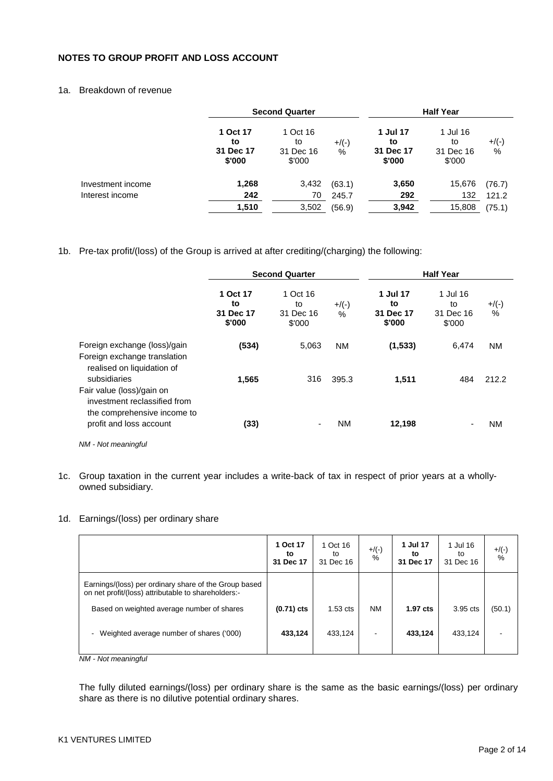## **NOTES TO GROUP PROFIT AND LOSS ACCOUNT**

## 1a. Breakdown of revenue

|                   |                                       | <b>Second Quarter</b>                 |               | <b>Half Year</b>                      |                                       |               |
|-------------------|---------------------------------------|---------------------------------------|---------------|---------------------------------------|---------------------------------------|---------------|
|                   | 1 Oct 17<br>to<br>31 Dec 17<br>\$'000 | 1 Oct 16<br>to<br>31 Dec 16<br>\$'000 | $+$ /(-)<br>% | 1 Jul 17<br>to<br>31 Dec 17<br>\$'000 | 1 Jul 16<br>to<br>31 Dec 16<br>\$'000 | $+$ /(-)<br>% |
| Investment income | 1,268                                 | 3,432                                 | (63.1)        | 3,650                                 | 15,676                                | (76.7)        |
| Interest income   | 242                                   | 70                                    | 245.7         | 292                                   | 132                                   | 121.2         |
|                   | 1,510                                 | 3,502                                 | (56.9)        | 3,942                                 | 15,808                                | (75.1)        |

#### 1b. Pre-tax profit/(loss) of the Group is arrived at after crediting/(charging) the following:

|                                                                                            |                                       | <b>Second Quarter</b>                 | <b>Half Year</b> |                                       |                                       |                           |
|--------------------------------------------------------------------------------------------|---------------------------------------|---------------------------------------|------------------|---------------------------------------|---------------------------------------|---------------------------|
|                                                                                            | 1 Oct 17<br>to<br>31 Dec 17<br>\$'000 | 1 Oct 16<br>to<br>31 Dec 16<br>\$'000 | $+$ /(-)<br>$\%$ | 1 Jul 17<br>to<br>31 Dec 17<br>\$'000 | 1 Jul 16<br>to<br>31 Dec 16<br>\$'000 | $+$ /(-)<br>$\frac{0}{0}$ |
| Foreign exchange (loss)/gain<br>Foreign exchange translation<br>realised on liquidation of | (534)                                 | 5,063                                 | <b>NM</b>        | (1,533)                               | 6,474                                 | <b>NM</b>                 |
| subsidiaries<br>Fair value (loss)/gain on<br>investment reclassified from                  | 1,565                                 | 316                                   | 395.3            | 1,511                                 | 484                                   | 212.2                     |
| the comprehensive income to<br>profit and loss account<br>NM - Not meaningful              | (33)                                  | ٠                                     | <b>NM</b>        | 12,198                                |                                       | <b>NM</b>                 |

1c. Group taxation in the current year includes a write-back of tax in respect of prior years at a whollyowned subsidiary.

## 1d. Earnings/(loss) per ordinary share

|                                                                                                              | 1 Oct 17<br>to<br>31 Dec 17 | 1 Oct 16<br>to<br>31 Dec 16 | $+$ /(-)<br>% | 1 Jul 17<br>to<br>31 Dec 17 | 1 Jul 16<br>to<br>31 Dec 16 | $+$ /(-)<br>$\%$ |
|--------------------------------------------------------------------------------------------------------------|-----------------------------|-----------------------------|---------------|-----------------------------|-----------------------------|------------------|
| Earnings/(loss) per ordinary share of the Group based<br>on net profit/(loss) attributable to shareholders:- |                             |                             |               |                             |                             |                  |
| Based on weighted average number of shares                                                                   | $(0.71)$ cts                | $1.53$ cts                  | <b>NM</b>     | $1.97$ cts                  | 3.95 cts                    | (50.1)           |
| - Weighted average number of shares ('000)                                                                   | 433,124                     | 433,124                     | ۰             | 433,124                     | 433,124                     |                  |

*NM - Not meaningful*

The fully diluted earnings/(loss) per ordinary share is the same as the basic earnings/(loss) per ordinary share as there is no dilutive potential ordinary shares.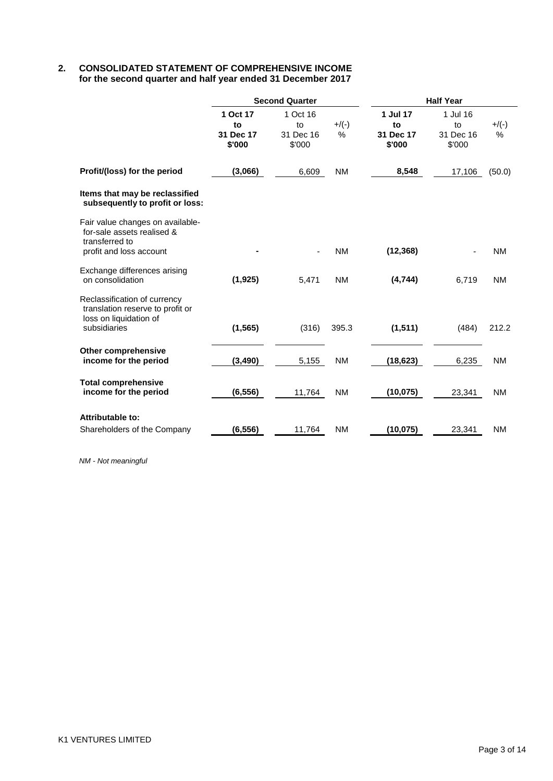## **2. CONSOLIDATED STATEMENT OF COMPREHENSIVE INCOME for the second quarter and half year ended 31 December 2017**

|                                                                                                             |                                       | <b>Second Quarter</b>                 |                  | <b>Half Year</b>                      |                                       |               |  |
|-------------------------------------------------------------------------------------------------------------|---------------------------------------|---------------------------------------|------------------|---------------------------------------|---------------------------------------|---------------|--|
|                                                                                                             | 1 Oct 17<br>to<br>31 Dec 17<br>\$'000 | 1 Oct 16<br>to<br>31 Dec 16<br>\$'000 | $+$ /(-)<br>$\%$ | 1 Jul 17<br>to<br>31 Dec 17<br>\$'000 | 1 Jul 16<br>to<br>31 Dec 16<br>\$'000 | $+$ /(-)<br>% |  |
| Profit/(loss) for the period                                                                                | (3,066)                               | 6,609                                 | <b>NM</b>        | 8,548                                 | 17,106                                | (50.0)        |  |
| Items that may be reclassified<br>subsequently to profit or loss:                                           |                                       |                                       |                  |                                       |                                       |               |  |
| Fair value changes on available-<br>for-sale assets realised &<br>transferred to<br>profit and loss account |                                       |                                       | <b>NM</b>        | (12, 368)                             |                                       | <b>NM</b>     |  |
| Exchange differences arising<br>on consolidation                                                            | (1, 925)                              | 5,471                                 | <b>NM</b>        | (4,744)                               | 6,719                                 | <b>NM</b>     |  |
| Reclassification of currency<br>translation reserve to profit or<br>loss on liquidation of<br>subsidiaries  | (1, 565)                              | (316)                                 | 395.3            | (1, 511)                              | (484)                                 | 212.2         |  |
| <b>Other comprehensive</b><br>income for the period                                                         | (3, 490)                              | 5,155                                 | <b>NM</b>        | (18, 623)                             | 6,235                                 | <b>NM</b>     |  |
| <b>Total comprehensive</b><br>income for the period                                                         | (6, 556)                              | 11,764                                | <b>NM</b>        | (10, 075)                             | 23,341                                | <b>NM</b>     |  |
| Attributable to:<br>Shareholders of the Company                                                             | (6, 556)                              | 11,764                                | <b>NM</b>        | (10, 075)                             | 23,341                                | <b>NM</b>     |  |

*NM - Not meaningful*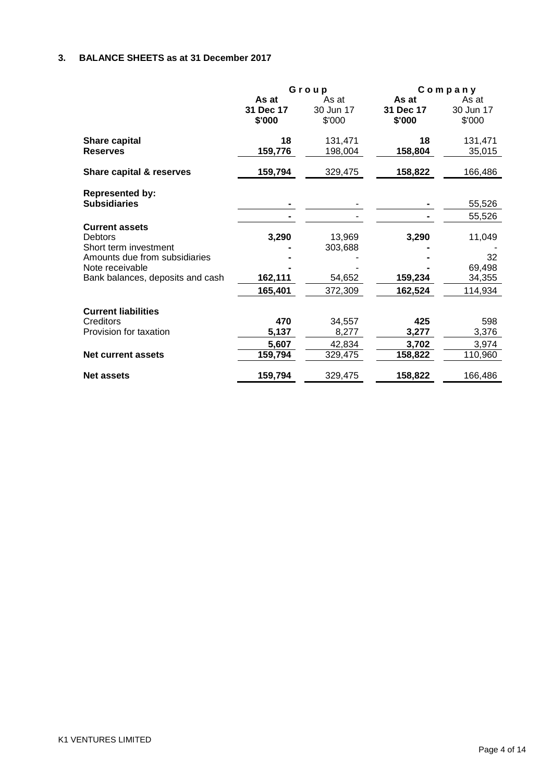# **3. BALANCE SHEETS as at 31 December 2017**

|                                                                                                                                                   |                                  | Group                                  | Company                          |                                             |  |
|---------------------------------------------------------------------------------------------------------------------------------------------------|----------------------------------|----------------------------------------|----------------------------------|---------------------------------------------|--|
|                                                                                                                                                   | As at<br>31 Dec 17<br>\$'000     | As at<br>30 Jun 17<br>\$'000           | As at<br>31 Dec 17<br>\$'000     | As at<br>30 Jun 17<br>\$'000                |  |
| <b>Share capital</b><br><b>Reserves</b>                                                                                                           | 18<br>159,776                    | 131,471<br>198,004                     | 18<br>158,804                    | 131,471<br>35,015                           |  |
| Share capital & reserves                                                                                                                          | 159,794                          | 329,475                                | 158,822                          | 166,486                                     |  |
| <b>Represented by:</b><br><b>Subsidiaries</b>                                                                                                     |                                  |                                        |                                  | 55,526<br>55,526                            |  |
| <b>Current assets</b><br>Debtors<br>Short term investment<br>Amounts due from subsidiaries<br>Note receivable<br>Bank balances, deposits and cash | 3,290<br>162,111<br>165,401      | 13,969<br>303,688<br>54,652<br>372,309 | 3,290<br>159,234<br>162,524      | 11,049<br>32<br>69,498<br>34,355<br>114,934 |  |
| <b>Current liabilities</b><br>Creditors<br>Provision for taxation<br><b>Net current assets</b>                                                    | 470<br>5,137<br>5,607<br>159,794 | 34,557<br>8,277<br>42,834<br>329,475   | 425<br>3,277<br>3,702<br>158,822 | 598<br>3,376<br>3,974<br>110,960            |  |
| <b>Net assets</b>                                                                                                                                 | 159,794                          | 329,475                                | 158,822                          | 166,486                                     |  |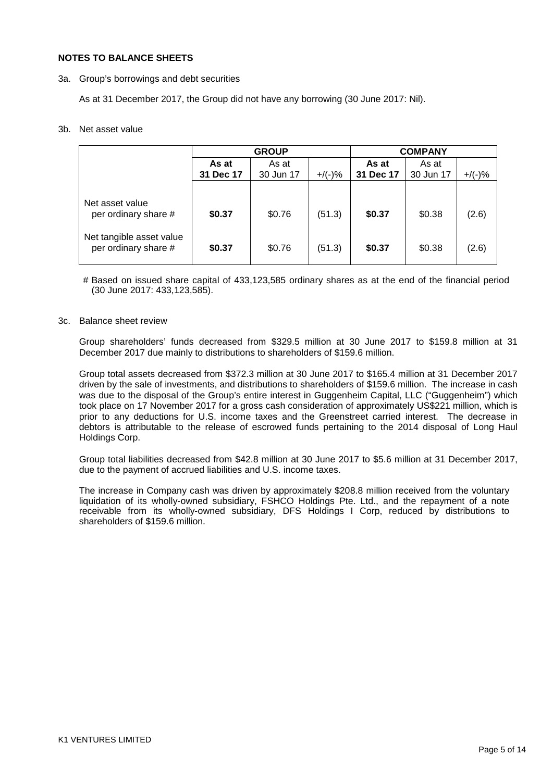#### **NOTES TO BALANCE SHEETS**

3a. Group's borrowings and debt securities

As at 31 December 2017, the Group did not have any borrowing (30 June 2017: Nil).

#### 3b. Net asset value

|                                                  |           | <b>GROUP</b> |           | <b>COMPANY</b> |           |           |
|--------------------------------------------------|-----------|--------------|-----------|----------------|-----------|-----------|
|                                                  | As at     | As at        |           | As at          | As at     |           |
|                                                  | 31 Dec 17 | 30 Jun 17    | $+/(-)$ % | 31 Dec 17      | 30 Jun 17 | $+$ /(-)% |
|                                                  |           |              |           |                |           |           |
| Net asset value<br>per ordinary share #          | \$0.37    | \$0.76       | (51.3)    | \$0.37         | \$0.38    | (2.6)     |
| Net tangible asset value<br>per ordinary share # | \$0.37    | \$0.76       | (51.3)    | \$0.37         | \$0.38    | (2.6)     |

# Based on issued share capital of 433,123,585 ordinary shares as at the end of the financial period (30 June 2017: 433,123,585).

#### 3c. Balance sheet review

Group shareholders' funds decreased from \$329.5 million at 30 June 2017 to \$159.8 million at 31 December 2017 due mainly to distributions to shareholders of \$159.6 million.

Group total assets decreased from \$372.3 million at 30 June 2017 to \$165.4 million at 31 December 2017 driven by the sale of investments, and distributions to shareholders of \$159.6 million. The increase in cash was due to the disposal of the Group's entire interest in Guggenheim Capital, LLC ("Guggenheim") which took place on 17 November 2017 for a gross cash consideration of approximately US\$221 million, which is prior to any deductions for U.S. income taxes and the Greenstreet carried interest. The decrease in debtors is attributable to the release of escrowed funds pertaining to the 2014 disposal of Long Haul Holdings Corp.

Group total liabilities decreased from \$42.8 million at 30 June 2017 to \$5.6 million at 31 December 2017, due to the payment of accrued liabilities and U.S. income taxes.

The increase in Company cash was driven by approximately \$208.8 million received from the voluntary liquidation of its wholly-owned subsidiary, FSHCO Holdings Pte. Ltd., and the repayment of a note receivable from its wholly-owned subsidiary, DFS Holdings I Corp, reduced by distributions to shareholders of \$159.6 million.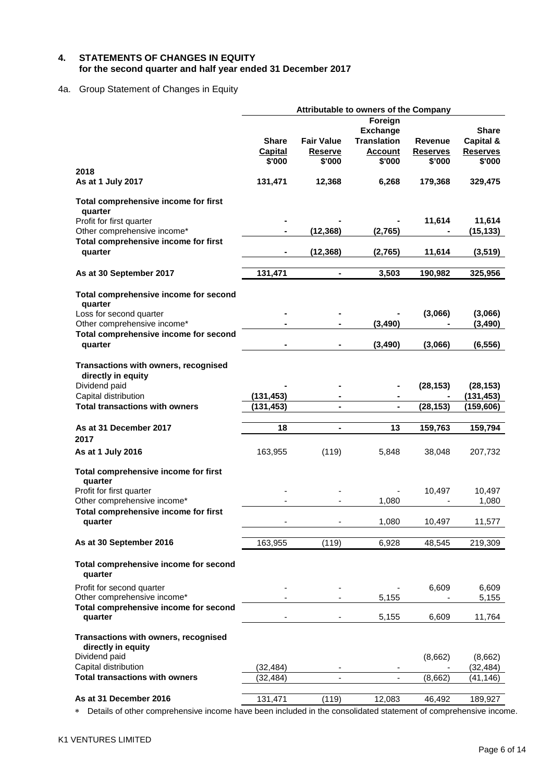## **4. STATEMENTS OF CHANGES IN EQUITY for the second quarter and half year ended 31 December 2017**

## 4a. Group Statement of Changes in Equity

|                                                            |                |                   | Attributable to owners of the Company |                 |                 |
|------------------------------------------------------------|----------------|-------------------|---------------------------------------|-----------------|-----------------|
|                                                            |                |                   | Foreign                               |                 |                 |
|                                                            |                |                   | <b>Exchange</b>                       |                 | <b>Share</b>    |
|                                                            | <b>Share</b>   | <b>Fair Value</b> | <b>Translation</b>                    | Revenue         | Capital &       |
|                                                            | <b>Capital</b> | <b>Reserve</b>    | <b>Account</b>                        | <b>Reserves</b> | <b>Reserves</b> |
|                                                            | \$'000         | \$'000            | \$'000                                | \$'000          | \$'000          |
| 2018                                                       |                |                   |                                       |                 |                 |
| As at 1 July 2017                                          | 131,471        | 12,368            | 6,268                                 | 179,368         | 329,475         |
| Total comprehensive income for first<br>quarter            |                |                   |                                       |                 |                 |
| Profit for first quarter                                   |                |                   |                                       | 11,614          | 11,614          |
| Other comprehensive income*                                |                | (12, 368)         | (2,765)                               |                 | (15, 133)       |
| Total comprehensive income for first                       |                |                   |                                       |                 |                 |
| quarter                                                    |                | (12, 368)         | (2,765)                               | 11,614          | (3, 519)        |
| As at 30 September 2017                                    | 131,471        | $\blacksquare$    | 3,503                                 | 190,982         | 325,956         |
| Total comprehensive income for second<br>quarter           |                |                   |                                       |                 |                 |
| Loss for second quarter                                    |                |                   |                                       | (3,066)         | (3,066)         |
| Other comprehensive income*                                |                |                   | (3, 490)                              |                 | (3, 490)        |
| Total comprehensive income for second                      |                |                   |                                       |                 |                 |
| quarter                                                    |                |                   | (3, 490)                              | (3,066)         | (6, 556)        |
| Transactions with owners, recognised<br>directly in equity |                |                   |                                       |                 |                 |
| Dividend paid                                              |                |                   |                                       | (28, 153)       | (28, 153)       |
| Capital distribution                                       | (131, 453)     |                   |                                       |                 | (131, 453)      |
| <b>Total transactions with owners</b>                      | (131, 453)     | $\blacksquare$    | $\blacksquare$                        | (28, 153)       | (159, 606)      |
|                                                            |                |                   |                                       |                 |                 |
| As at 31 December 2017                                     | 18             | $\blacksquare$    | 13                                    | 159,763         | 159,794         |
| 2017                                                       |                |                   |                                       |                 |                 |
| As at 1 July 2016                                          | 163,955        | (119)             | 5,848                                 | 38,048          | 207,732         |
| Total comprehensive income for first<br>quarter            |                |                   |                                       |                 |                 |
| Profit for first quarter                                   |                |                   |                                       | 10,497          | 10,497          |
| Other comprehensive income*                                |                |                   | 1,080                                 |                 | 1,080           |
| Total comprehensive income for first                       |                |                   |                                       |                 |                 |
| quarter                                                    |                |                   | 1,080                                 | 10,497          | 11,577          |
| As at 30 September 2016                                    |                |                   |                                       |                 |                 |
|                                                            | 163,955        | (119)             | 6,928                                 | 48,545          | 219,309         |
| Total comprehensive income for second<br>quarter           |                |                   |                                       |                 |                 |
| Profit for second quarter                                  |                |                   |                                       | 6,609           | 6,609           |
| Other comprehensive income*                                |                |                   | 5,155                                 |                 | 5,155           |
| Total comprehensive income for second                      |                |                   |                                       |                 |                 |
| quarter                                                    |                |                   | 5,155                                 | 6,609           | 11,764          |
| Transactions with owners, recognised<br>directly in equity |                |                   |                                       |                 |                 |
| Dividend paid                                              |                |                   |                                       | (8,662)         | (8,662)         |
| Capital distribution                                       | (32, 484)      |                   | ٠                                     |                 | (32, 484)       |
| <b>Total transactions with owners</b>                      | (32, 484)      |                   |                                       | (8,662)         | (41, 146)       |
|                                                            |                |                   |                                       |                 |                 |
| As at 31 December 2016                                     | 131,471        | (119)             | 12,083                                | 46,492          | 189,927         |

∗ Details of other comprehensive income have been included in the consolidated statement of comprehensive income.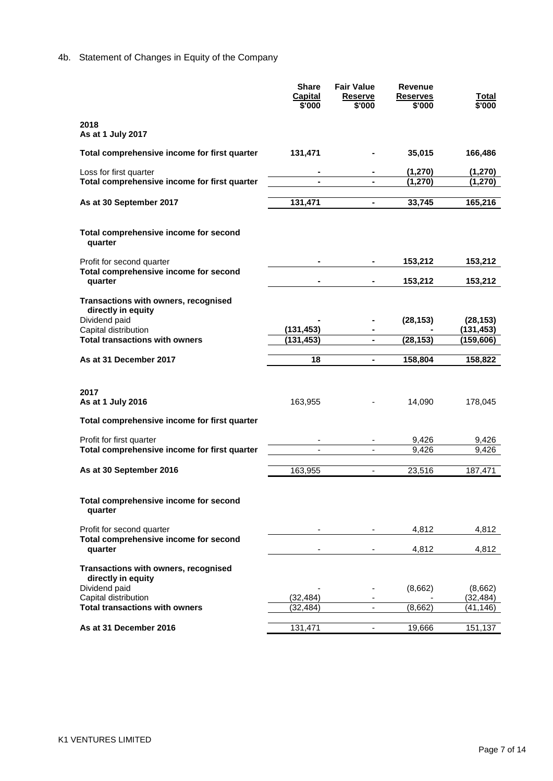# 4b. Statement of Changes in Equity of the Company

|                                                                        | <b>Share</b><br>Capital<br>\$'000 | <b>Fair Value</b><br><b>Reserve</b><br>\$'000 | <b>Revenue</b><br><b>Reserves</b><br>\$'000 | Total<br>\$'000     |
|------------------------------------------------------------------------|-----------------------------------|-----------------------------------------------|---------------------------------------------|---------------------|
| 2018<br>As at 1 July 2017                                              |                                   |                                               |                                             |                     |
| Total comprehensive income for first quarter                           | 131,471                           |                                               | 35,015                                      | 166,486             |
| Loss for first quarter<br>Total comprehensive income for first quarter |                                   |                                               | (1, 270)<br>(1, 270)                        | (1,270)<br>(1, 270) |
|                                                                        |                                   |                                               |                                             |                     |
| As at 30 September 2017                                                | 131,471                           | ÷,                                            | 33,745                                      | 165,216             |
| Total comprehensive income for second<br>quarter                       |                                   |                                               |                                             |                     |
| Profit for second quarter                                              |                                   |                                               | 153,212                                     | 153,212             |
| Total comprehensive income for second<br>quarter                       |                                   |                                               | 153,212                                     | 153,212             |
| Transactions with owners, recognised                                   |                                   |                                               |                                             |                     |
| directly in equity<br>Dividend paid                                    |                                   |                                               | (28, 153)                                   | (28, 153)           |
| Capital distribution<br><b>Total transactions with owners</b>          | (131, 453)                        |                                               |                                             | (131, 453)          |
|                                                                        | (131, 453)                        | $\blacksquare$                                | (28, 153)                                   | (159,606)           |
| As at 31 December 2017                                                 | 18                                | $\blacksquare$                                | 158,804                                     | 158,822             |
|                                                                        |                                   |                                               |                                             |                     |
| 2017                                                                   |                                   |                                               |                                             |                     |
| As at 1 July 2016                                                      | 163,955                           |                                               | 14,090                                      | 178,045             |
| Total comprehensive income for first quarter                           |                                   |                                               |                                             |                     |
| Profit for first quarter                                               |                                   | ٠                                             | 9,426                                       | 9,426               |
| Total comprehensive income for first quarter                           |                                   | $\blacksquare$                                | 9,426                                       | 9,426               |
| As at 30 September 2016                                                | 163,955                           | $\blacksquare$                                | 23,516                                      | 187,471             |
|                                                                        |                                   |                                               |                                             |                     |
| Total comprehensive income for second<br>quarter                       |                                   |                                               |                                             |                     |
| Profit for second quarter                                              |                                   |                                               | 4,812                                       | 4,812               |
| Total comprehensive income for second<br>quarter                       |                                   |                                               | 4,812                                       | 4,812               |
| Transactions with owners, recognised<br>directly in equity             |                                   |                                               |                                             |                     |
| Dividend paid                                                          |                                   |                                               | (8,662)                                     | (8,662)             |
| Capital distribution                                                   | (32, 484)                         |                                               |                                             | (32, 484)           |
| <b>Total transactions with owners</b>                                  | (32,484)                          | $\overline{\phantom{a}}$                      | (8,662)                                     | (41,146)            |
| As at 31 December 2016                                                 | 131,471                           | ÷,                                            | 19,666                                      | 151,137             |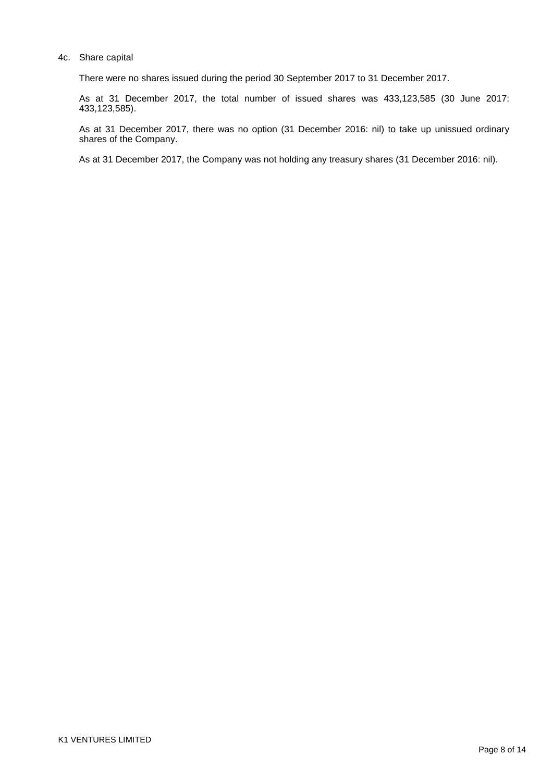#### 4c. Share capital

There were no shares issued during the period 30 September 2017 to 31 December 2017.

As at 31 December 2017, the total number of issued shares was 433,123,585 (30 June 2017: 433,123,585).

As at 31 December 2017, there was no option (31 December 2016: nil) to take up unissued ordinary shares of the Company.

As at 31 December 2017, the Company was not holding any treasury shares (31 December 2016: nil).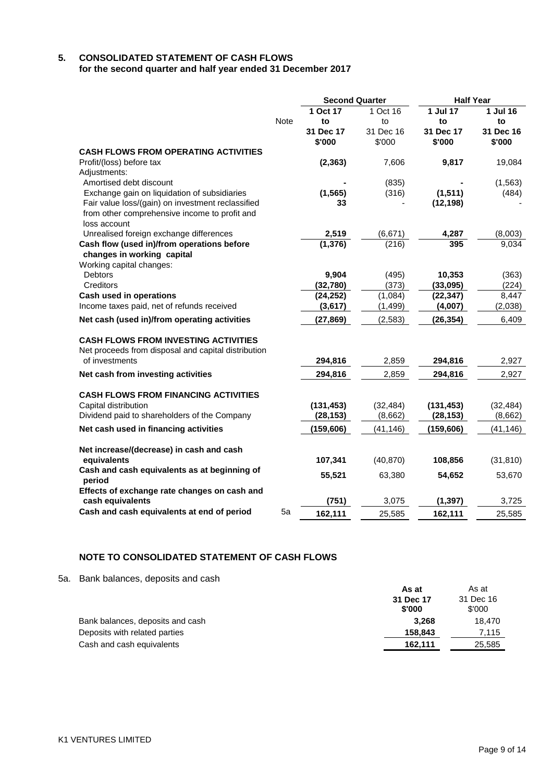## **5. CONSOLIDATED STATEMENT OF CASH FLOWS for the second quarter and half year ended 31 December 2017**

| 1 Oct 17<br>1 Jul 17<br>1 Jul 16<br>1 Oct 16<br><b>Note</b><br>to<br>to<br>to<br>to<br>31 Dec 16<br>31 Dec 17<br>31 Dec 16<br>31 Dec 17<br>\$'000<br>\$'000<br>\$'000<br>\$'000<br><b>CASH FLOWS FROM OPERATING ACTIVITIES</b><br>Profit/(loss) before tax<br>(2, 363)<br>7,606<br>9,817<br>19,084<br>Adjustments:<br>Amortised debt discount<br>(835)<br>(1, 563)<br>Exchange gain on liquidation of subsidiaries<br>(1, 565)<br>(316)<br>(1, 511)<br>(484)<br>Fair value loss/(gain) on investment reclassified<br>(12, 198)<br>33<br>from other comprehensive income to profit and<br>loss account<br>Unrealised foreign exchange differences<br>2,519<br>(6,671)<br>4,287<br>(8,003)<br>(1, 376)<br>Cash flow (used in)/from operations before<br>(216)<br>395<br>9,034<br>changes in working capital<br>Working capital changes:<br><b>Debtors</b><br>9,904<br>(495)<br>10,353<br>(363)<br>Creditors<br>(32,780)<br>(373)<br>(33,095)<br>(224)<br><b>Cash used in operations</b><br>(1,084)<br>8,447<br>(24, 252)<br>(22, 347)<br>Income taxes paid, net of refunds received<br>(2,038)<br>(3,617)<br>(1, 499)<br>(4,007)<br>Net cash (used in)/from operating activities<br>(27, 869)<br>(2,583)<br>6,409<br>(26, 354)<br><b>CASH FLOWS FROM INVESTING ACTIVITIES</b> |  | <b>Second Quarter</b> | <b>Half Year</b> |  |
|-----------------------------------------------------------------------------------------------------------------------------------------------------------------------------------------------------------------------------------------------------------------------------------------------------------------------------------------------------------------------------------------------------------------------------------------------------------------------------------------------------------------------------------------------------------------------------------------------------------------------------------------------------------------------------------------------------------------------------------------------------------------------------------------------------------------------------------------------------------------------------------------------------------------------------------------------------------------------------------------------------------------------------------------------------------------------------------------------------------------------------------------------------------------------------------------------------------------------------------------------------------------------------|--|-----------------------|------------------|--|
|                                                                                                                                                                                                                                                                                                                                                                                                                                                                                                                                                                                                                                                                                                                                                                                                                                                                                                                                                                                                                                                                                                                                                                                                                                                                             |  |                       |                  |  |
|                                                                                                                                                                                                                                                                                                                                                                                                                                                                                                                                                                                                                                                                                                                                                                                                                                                                                                                                                                                                                                                                                                                                                                                                                                                                             |  |                       |                  |  |
|                                                                                                                                                                                                                                                                                                                                                                                                                                                                                                                                                                                                                                                                                                                                                                                                                                                                                                                                                                                                                                                                                                                                                                                                                                                                             |  |                       |                  |  |
|                                                                                                                                                                                                                                                                                                                                                                                                                                                                                                                                                                                                                                                                                                                                                                                                                                                                                                                                                                                                                                                                                                                                                                                                                                                                             |  |                       |                  |  |
|                                                                                                                                                                                                                                                                                                                                                                                                                                                                                                                                                                                                                                                                                                                                                                                                                                                                                                                                                                                                                                                                                                                                                                                                                                                                             |  |                       |                  |  |
|                                                                                                                                                                                                                                                                                                                                                                                                                                                                                                                                                                                                                                                                                                                                                                                                                                                                                                                                                                                                                                                                                                                                                                                                                                                                             |  |                       |                  |  |
|                                                                                                                                                                                                                                                                                                                                                                                                                                                                                                                                                                                                                                                                                                                                                                                                                                                                                                                                                                                                                                                                                                                                                                                                                                                                             |  |                       |                  |  |
|                                                                                                                                                                                                                                                                                                                                                                                                                                                                                                                                                                                                                                                                                                                                                                                                                                                                                                                                                                                                                                                                                                                                                                                                                                                                             |  |                       |                  |  |
|                                                                                                                                                                                                                                                                                                                                                                                                                                                                                                                                                                                                                                                                                                                                                                                                                                                                                                                                                                                                                                                                                                                                                                                                                                                                             |  |                       |                  |  |
|                                                                                                                                                                                                                                                                                                                                                                                                                                                                                                                                                                                                                                                                                                                                                                                                                                                                                                                                                                                                                                                                                                                                                                                                                                                                             |  |                       |                  |  |
|                                                                                                                                                                                                                                                                                                                                                                                                                                                                                                                                                                                                                                                                                                                                                                                                                                                                                                                                                                                                                                                                                                                                                                                                                                                                             |  |                       |                  |  |
|                                                                                                                                                                                                                                                                                                                                                                                                                                                                                                                                                                                                                                                                                                                                                                                                                                                                                                                                                                                                                                                                                                                                                                                                                                                                             |  |                       |                  |  |
|                                                                                                                                                                                                                                                                                                                                                                                                                                                                                                                                                                                                                                                                                                                                                                                                                                                                                                                                                                                                                                                                                                                                                                                                                                                                             |  |                       |                  |  |
|                                                                                                                                                                                                                                                                                                                                                                                                                                                                                                                                                                                                                                                                                                                                                                                                                                                                                                                                                                                                                                                                                                                                                                                                                                                                             |  |                       |                  |  |
|                                                                                                                                                                                                                                                                                                                                                                                                                                                                                                                                                                                                                                                                                                                                                                                                                                                                                                                                                                                                                                                                                                                                                                                                                                                                             |  |                       |                  |  |
|                                                                                                                                                                                                                                                                                                                                                                                                                                                                                                                                                                                                                                                                                                                                                                                                                                                                                                                                                                                                                                                                                                                                                                                                                                                                             |  |                       |                  |  |
|                                                                                                                                                                                                                                                                                                                                                                                                                                                                                                                                                                                                                                                                                                                                                                                                                                                                                                                                                                                                                                                                                                                                                                                                                                                                             |  |                       |                  |  |
|                                                                                                                                                                                                                                                                                                                                                                                                                                                                                                                                                                                                                                                                                                                                                                                                                                                                                                                                                                                                                                                                                                                                                                                                                                                                             |  |                       |                  |  |
|                                                                                                                                                                                                                                                                                                                                                                                                                                                                                                                                                                                                                                                                                                                                                                                                                                                                                                                                                                                                                                                                                                                                                                                                                                                                             |  |                       |                  |  |
|                                                                                                                                                                                                                                                                                                                                                                                                                                                                                                                                                                                                                                                                                                                                                                                                                                                                                                                                                                                                                                                                                                                                                                                                                                                                             |  |                       |                  |  |
|                                                                                                                                                                                                                                                                                                                                                                                                                                                                                                                                                                                                                                                                                                                                                                                                                                                                                                                                                                                                                                                                                                                                                                                                                                                                             |  |                       |                  |  |
|                                                                                                                                                                                                                                                                                                                                                                                                                                                                                                                                                                                                                                                                                                                                                                                                                                                                                                                                                                                                                                                                                                                                                                                                                                                                             |  |                       |                  |  |
| Net proceeds from disposal and capital distribution                                                                                                                                                                                                                                                                                                                                                                                                                                                                                                                                                                                                                                                                                                                                                                                                                                                                                                                                                                                                                                                                                                                                                                                                                         |  |                       |                  |  |
| of investments<br>294,816<br>2,859<br>294,816<br>2,927                                                                                                                                                                                                                                                                                                                                                                                                                                                                                                                                                                                                                                                                                                                                                                                                                                                                                                                                                                                                                                                                                                                                                                                                                      |  |                       |                  |  |
| Net cash from investing activities<br>2,927<br>294,816<br>2,859<br>294,816                                                                                                                                                                                                                                                                                                                                                                                                                                                                                                                                                                                                                                                                                                                                                                                                                                                                                                                                                                                                                                                                                                                                                                                                  |  |                       |                  |  |
|                                                                                                                                                                                                                                                                                                                                                                                                                                                                                                                                                                                                                                                                                                                                                                                                                                                                                                                                                                                                                                                                                                                                                                                                                                                                             |  |                       |                  |  |
| <b>CASH FLOWS FROM FINANCING ACTIVITIES</b>                                                                                                                                                                                                                                                                                                                                                                                                                                                                                                                                                                                                                                                                                                                                                                                                                                                                                                                                                                                                                                                                                                                                                                                                                                 |  |                       |                  |  |
| (131, 453)<br>(131, 453)<br>Capital distribution<br>(32, 484)<br>(32, 484)                                                                                                                                                                                                                                                                                                                                                                                                                                                                                                                                                                                                                                                                                                                                                                                                                                                                                                                                                                                                                                                                                                                                                                                                  |  |                       |                  |  |
| Dividend paid to shareholders of the Company<br>(8,662)<br>(28, 153)<br>(8,662)<br>(28, 153)                                                                                                                                                                                                                                                                                                                                                                                                                                                                                                                                                                                                                                                                                                                                                                                                                                                                                                                                                                                                                                                                                                                                                                                |  |                       |                  |  |
| Net cash used in financing activities<br>(159, 606)<br>(159, 606)<br>(41, 146)<br>(41, 146)                                                                                                                                                                                                                                                                                                                                                                                                                                                                                                                                                                                                                                                                                                                                                                                                                                                                                                                                                                                                                                                                                                                                                                                 |  |                       |                  |  |
|                                                                                                                                                                                                                                                                                                                                                                                                                                                                                                                                                                                                                                                                                                                                                                                                                                                                                                                                                                                                                                                                                                                                                                                                                                                                             |  |                       |                  |  |
| Net increase/(decrease) in cash and cash                                                                                                                                                                                                                                                                                                                                                                                                                                                                                                                                                                                                                                                                                                                                                                                                                                                                                                                                                                                                                                                                                                                                                                                                                                    |  |                       |                  |  |
| equivalents<br>107,341<br>(40, 870)<br>(31, 810)<br>108,856                                                                                                                                                                                                                                                                                                                                                                                                                                                                                                                                                                                                                                                                                                                                                                                                                                                                                                                                                                                                                                                                                                                                                                                                                 |  |                       |                  |  |
| Cash and cash equivalents as at beginning of<br>55,521<br>63,380<br>54,652<br>53,670                                                                                                                                                                                                                                                                                                                                                                                                                                                                                                                                                                                                                                                                                                                                                                                                                                                                                                                                                                                                                                                                                                                                                                                        |  |                       |                  |  |
| period<br>Effects of exchange rate changes on cash and                                                                                                                                                                                                                                                                                                                                                                                                                                                                                                                                                                                                                                                                                                                                                                                                                                                                                                                                                                                                                                                                                                                                                                                                                      |  |                       |                  |  |
| (751)<br>(1, 397)<br>cash equivalents<br>3,075<br>3,725                                                                                                                                                                                                                                                                                                                                                                                                                                                                                                                                                                                                                                                                                                                                                                                                                                                                                                                                                                                                                                                                                                                                                                                                                     |  |                       |                  |  |
| Cash and cash equivalents at end of period<br>5a<br>162,111<br>25,585<br>162,111<br>25.585                                                                                                                                                                                                                                                                                                                                                                                                                                                                                                                                                                                                                                                                                                                                                                                                                                                                                                                                                                                                                                                                                                                                                                                  |  |                       |                  |  |

## **NOTE TO CONSOLIDATED STATEMENT OF CASH FLOWS**

5a. Bank balances, deposits and cash

|                                  | As at     | As at     |
|----------------------------------|-----------|-----------|
|                                  | 31 Dec 17 | 31 Dec 16 |
|                                  | \$'000    | \$'000    |
| Bank balances, deposits and cash | 3.268     | 18.470    |
| Deposits with related parties    | 158.843   | 7.115     |
| Cash and cash equivalents        | 162,111   | 25,585    |
|                                  |           |           |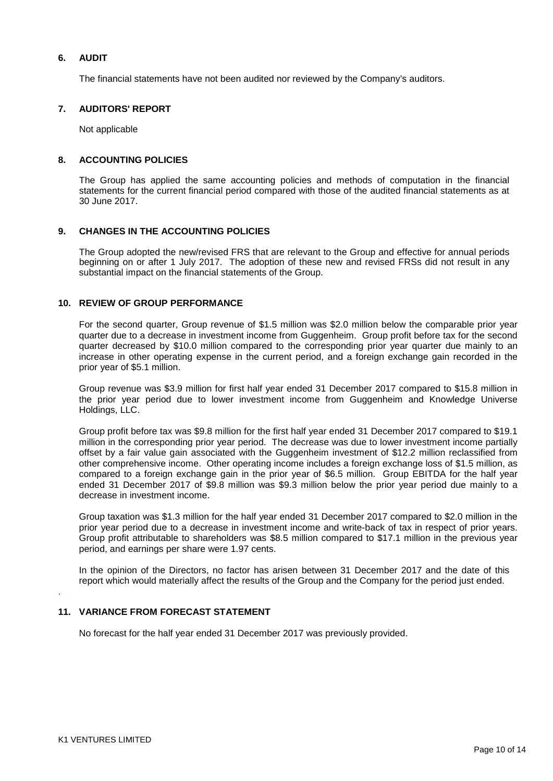### **6. AUDIT**

The financial statements have not been audited nor reviewed by the Company's auditors.

#### **7. AUDITORS' REPORT**

Not applicable

#### **8. ACCOUNTING POLICIES**

The Group has applied the same accounting policies and methods of computation in the financial statements for the current financial period compared with those of the audited financial statements as at 30 June 2017.

#### **9. CHANGES IN THE ACCOUNTING POLICIES**

The Group adopted the new/revised FRS that are relevant to the Group and effective for annual periods beginning on or after 1 July 2017. The adoption of these new and revised FRSs did not result in any substantial impact on the financial statements of the Group.

### **10. REVIEW OF GROUP PERFORMANCE**

For the second quarter, Group revenue of \$1.5 million was \$2.0 million below the comparable prior year quarter due to a decrease in investment income from Guggenheim. Group profit before tax for the second quarter decreased by \$10.0 million compared to the corresponding prior year quarter due mainly to an increase in other operating expense in the current period, and a foreign exchange gain recorded in the prior year of \$5.1 million.

Group revenue was \$3.9 million for first half year ended 31 December 2017 compared to \$15.8 million in the prior year period due to lower investment income from Guggenheim and Knowledge Universe Holdings, LLC.

Group profit before tax was \$9.8 million for the first half year ended 31 December 2017 compared to \$19.1 million in the corresponding prior year period. The decrease was due to lower investment income partially offset by a fair value gain associated with the Guggenheim investment of \$12.2 million reclassified from other comprehensive income. Other operating income includes a foreign exchange loss of \$1.5 million, as compared to a foreign exchange gain in the prior year of \$6.5 million. Group EBITDA for the half year ended 31 December 2017 of \$9.8 million was \$9.3 million below the prior year period due mainly to a decrease in investment income.

Group taxation was \$1.3 million for the half year ended 31 December 2017 compared to \$2.0 million in the prior year period due to a decrease in investment income and write-back of tax in respect of prior years. Group profit attributable to shareholders was \$8.5 million compared to \$17.1 million in the previous year period, and earnings per share were 1.97 cents.

In the opinion of the Directors, no factor has arisen between 31 December 2017 and the date of this report which would materially affect the results of the Group and the Company for the period just ended.

.

#### **11. VARIANCE FROM FORECAST STATEMENT**

No forecast for the half year ended 31 December 2017 was previously provided.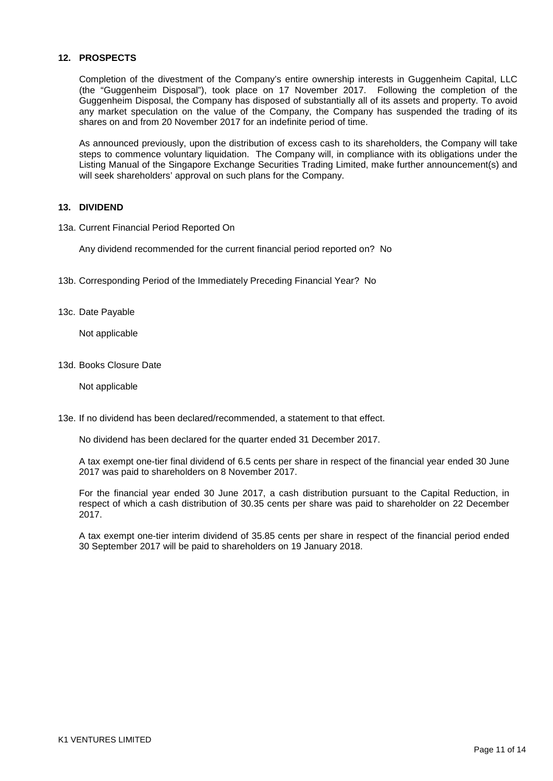### **12. PROSPECTS**

Completion of the divestment of the Company's entire ownership interests in Guggenheim Capital, LLC (the "Guggenheim Disposal"), took place on 17 November 2017. Following the completion of the Guggenheim Disposal, the Company has disposed of substantially all of its assets and property. To avoid any market speculation on the value of the Company, the Company has suspended the trading of its shares on and from 20 November 2017 for an indefinite period of time.

As announced previously, upon the distribution of excess cash to its shareholders, the Company will take steps to commence voluntary liquidation. The Company will, in compliance with its obligations under the Listing Manual of the Singapore Exchange Securities Trading Limited, make further announcement(s) and will seek shareholders' approval on such plans for the Company.

#### **13. DIVIDEND**

13a. Current Financial Period Reported On

Any dividend recommended for the current financial period reported on? No

- 13b. Corresponding Period of the Immediately Preceding Financial Year? No
- 13c. Date Payable

Not applicable

13d. Books Closure Date

Not applicable

13e. If no dividend has been declared/recommended, a statement to that effect.

No dividend has been declared for the quarter ended 31 December 2017.

A tax exempt one-tier final dividend of 6.5 cents per share in respect of the financial year ended 30 June 2017 was paid to shareholders on 8 November 2017.

For the financial year ended 30 June 2017, a cash distribution pursuant to the Capital Reduction, in respect of which a cash distribution of 30.35 cents per share was paid to shareholder on 22 December 2017.

A tax exempt one-tier interim dividend of 35.85 cents per share in respect of the financial period ended 30 September 2017 will be paid to shareholders on 19 January 2018.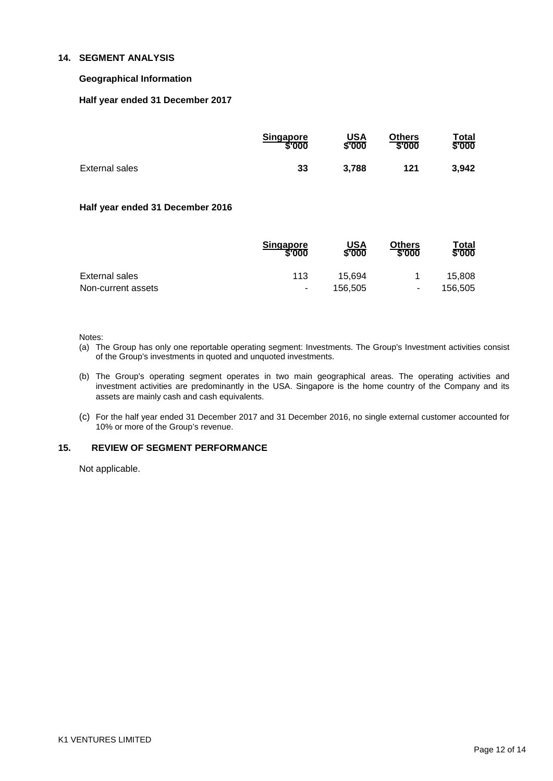### **14. SEGMENT ANALYSIS**

### **Geographical Information**

#### **Half year ended 31 December 2017**

|                | <b>Singapore</b> | <b>USA</b> | <b>Others</b> | Total  |
|----------------|------------------|------------|---------------|--------|
|                | \$'000           | \$'000     | \$'000        | \$'000 |
| External sales | 33               | 3.788      | 121           | 3,942  |

#### **Half year ended 31 December 2016**

|                    | <b>Singapore</b><br>\$'000 | USA<br>\$'000 | <b>Others</b><br>\$'000  | Total<br>\$'000 |
|--------------------|----------------------------|---------------|--------------------------|-----------------|
| External sales     | 113                        | 15.694        |                          | 15.808          |
| Non-current assets | ۰                          | 156.505       | $\overline{\phantom{a}}$ | 156,505         |

Notes:

- (a) The Group has only one reportable operating segment: Investments. The Group's Investment activities consist of the Group's investments in quoted and unquoted investments.
- (b) The Group's operating segment operates in two main geographical areas. The operating activities and investment activities are predominantly in the USA. Singapore is the home country of the Company and its assets are mainly cash and cash equivalents.
- (c) For the half year ended 31 December 2017 and 31 December 2016, no single external customer accounted for 10% or more of the Group's revenue.

#### **15. REVIEW OF SEGMENT PERFORMANCE**

Not applicable.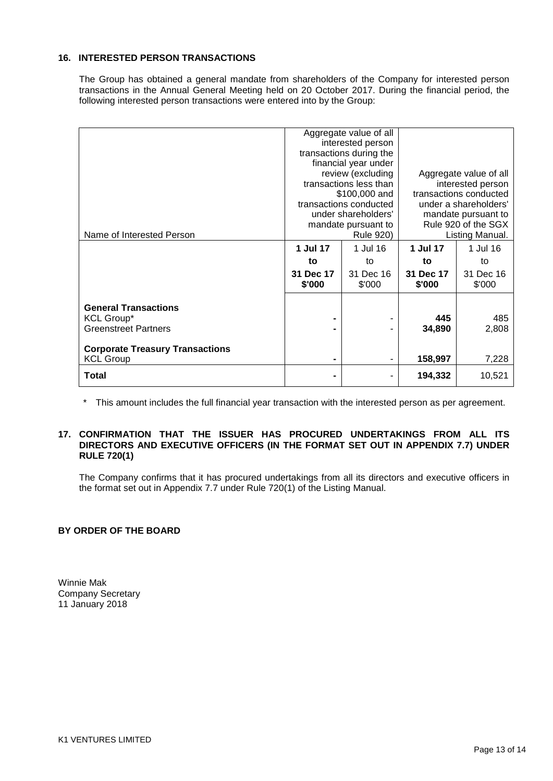### **16. INTERESTED PERSON TRANSACTIONS**

The Group has obtained a general mandate from shareholders of the Company for interested person transactions in the Annual General Meeting held on 20 October 2017. During the financial period, the following interested person transactions were entered into by the Group:

|                                        | Aggregate value of all  |           |                        |           |
|----------------------------------------|-------------------------|-----------|------------------------|-----------|
|                                        | interested person       |           |                        |           |
|                                        | transactions during the |           |                        |           |
|                                        | financial year under    |           |                        |           |
|                                        | review (excluding       |           | Aggregate value of all |           |
|                                        | transactions less than  |           | interested person      |           |
|                                        | \$100,000 and           |           | transactions conducted |           |
|                                        | transactions conducted  |           | under a shareholders'  |           |
|                                        | under shareholders'     |           | mandate pursuant to    |           |
|                                        | mandate pursuant to     |           | Rule 920 of the SGX    |           |
| Name of Interested Person              | <b>Rule 920)</b>        |           | Listing Manual.        |           |
|                                        | 1 Jul 17                | 1 Jul 16  | 1 Jul 17               | 1 Jul 16  |
|                                        | to                      | to        | to                     | to        |
|                                        | 31 Dec 17               | 31 Dec 16 | 31 Dec 17              | 31 Dec 16 |
|                                        | \$'000                  | \$'000    | \$'000                 | \$'000    |
|                                        |                         |           |                        |           |
| <b>General Transactions</b>            |                         |           |                        |           |
| <b>KCL Group*</b>                      | -                       |           | 445                    | 485       |
| <b>Greenstreet Partners</b>            |                         |           | 34,890                 | 2,808     |
| <b>Corporate Treasury Transactions</b> |                         |           |                        |           |
| <b>KCL Group</b>                       | ۰                       |           | 158,997                | 7,228     |
|                                        |                         |           |                        |           |
| <b>Total</b>                           |                         |           | 194,332                | 10,521    |

\* This amount includes the full financial year transaction with the interested person as per agreement.

#### **17. CONFIRMATION THAT THE ISSUER HAS PROCURED UNDERTAKINGS FROM ALL ITS DIRECTORS AND EXECUTIVE OFFICERS (IN THE FORMAT SET OUT IN APPENDIX 7.7) UNDER RULE 720(1)**

The Company confirms that it has procured undertakings from all its directors and executive officers in the format set out in Appendix 7.7 under Rule 720(1) of the Listing Manual.

## **BY ORDER OF THE BOARD**

Winnie Mak Company Secretary 11 January 2018